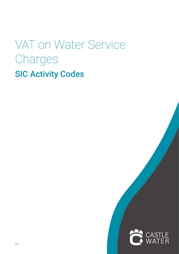# VAT on Water Service Charges SIC Activity Codes

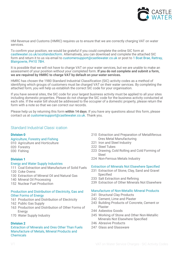

HM Revenue and Customs (HMRC) requires us to ensure that we are correctly charging VAT on water services.

To confirm your position, we would be grateful if you could complete the online SIC form at castlewater.co.uk/scotlandsicform. Alternatively, you can download and complete the attached SIC form and return it to us via email to customersupport@castlewater.co.uk or post to 1 Boat Brae, Rattray, Blairgowrie, PH10 7BH.

It is possible that we will not have to charge VAT on your water services, but we are unable to make an assessment of your position without your completed form. **If you do not complete and submit a form, we are required by HMRC to charge VAT by default on your water services.** 

HMRC has chosen the 1980 Standard Industrial Classification (SIC) activity codes as a method of identifying which groups of customers must be charged VAT on their water services. By completing the attached form, you will help us establish the correct SIC code for your organisation.

If you have several sites, the SIC code for your largest business activity must be applied to all your sites including domestic properties. Please do not change the SIC code for the business activity conducted at each site. If the water bill should be addressed to the occupier of a domestic property, please return the form with a note so that we can correct our records.

Please help us by returning this form **within 14 days**. If you have any questions about this form, please contact us at customersupport@castlewater.co.uk. Thank you.

#### Standard Industrial Classi ication

#### **Division 0**

#### Agriculture, Forestry and Fishing

010 Agriculture and Horticulture 020 Forestry 030 Fishing

#### **Division 1**

#### Energy and Water Supply Industries

- 111 Coal Extraction and Manufacture of Solid Fuels 120 Coke Ovens
- 
- 130 Extraction of Mineral Oil and Natural Gas
- 140 Mineral Oil Processing
- 152 Nuclear Fuel Production

#### Production and Distribution of Electricity, Gas and Other Forms of Energy

- 161 Production and Distribution of Electricity
- 162 Public Gas Supply
- 163 Production and Distribution of Other Forms of **Energy**
- 170 Water Supply Industry

#### **Division 2**

#### Extraction of Minerals and Ores Other Than Fuels Manufacture of Metals, Mineral Products and **Chemicals**

- 210 Extraction and Preparation of Metalliferous Ores Metal Manufacturing
- 221 Iron and Steel Industry
- 222 Steel Tubes
- 223 Drawing, Cold Rolling and Cold Forming of Steel
- 224 Non-Ferrous Metals Industry

#### Extraction of Minerals Not Elsewhere Specified

- 231 Extraction of Stone, Clay, Sand and Gravel Specified
- 233 Salt Extraction and Refining
- 239 Extraction of Other Minerals Not Elsewhere

#### Manufacture of Non-Metallic Mineral Products

- 241 Structural Clay Products
- 242 Cement, Lime and Plaster
- 243 Building Products of Concrete, Cement or Plaster
- 244 Asbestos Goods
- 245 Working of Stone and Other Non-Metallic Minerals Not Elsewhere Specified
- 246 Abrasive Products
- 247 Glass and Glassware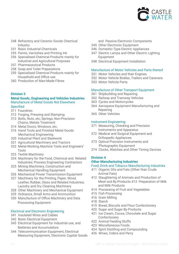

- 248 Refractory and Ceramic Goods Chemical **Industry**
- 251 Basic Industrial Chemicals
- 255 Paints, Varnishes and Printing Ink
- 256 Specialised Chemical Products mainly for Industrial and Agricultural Purposes
- 257 Pharmaceutical Products
- 258 Soap and Toilet Preparations
- 259 Specialised Chemical Products mainly for Household and Office use
- 260 Production of Man-Made Fibres

#### **Division 3**

#### **Metal Goods, Engineering and Vehicles Industries** Manufacture of Metal Goods Not Elsewhere Specified

- 311 Foundries
- 312 Forging, Pressing and Stamping
- 313 Bolts, Nuts, etc; Springs; Non-Precision Chains; Metals Treatment
- 314 Metal Doors, Windows, etc.
- 316 Hand Tools and Finished Metal Goods Mechanical Engineering
- 320 Industrial Plant and Steelwork
- 321 Agricultural Machinery and Tractors
- 322 Metal-Working Machine Tools and Engineers' Tools
- 323 Textile Machinery
- 324 Machinery for the Food, Chemical and Related Industries; Process Engineering Contractors
- 325 Mining Machinery, Construction and Mechanical Handling Equipment
- 326 Mechanical Power Transmission Equipment
- 327 Machinery for the Printing, Paper, Wood, Leather, Rubber, Glass and Related Industries; Laundry and Dry Cleaning Machinery
- 328 Other Machinery and Mechanical Equipment
- 329 Ordnance, Small Arms and Ammunition
- 330 Manufacture of Office Machinery and Data Processing Equipment

#### Electrical and Electronic Engineering

- 341 Insulated Wires and Cables
- 342 Basic Electrical Equipment
- 343 Electrical Equipment for industrial use, and Batteries and Accumulators
- 344 Telecommunication Equipment, Electrical Measuring Equipment, Electronic Capital Goods
- and Passive Electronic Components
- 345 Other Electronic Equipment
- 346 Domestic-Type Electric Appliances
- 347 Electric Lamps and Other Electric Lighting Equipment
- 348 Electrical Equipment Installation

#### Manufacture of Motor Vehicles and Parts thereof

- 351 Motor Vehicles and their Engines
- 352 Motor Vehicle Bodies, Trailers and Caravans
- 353 Motor Vehicle Parts

#### Manufacture of Other Transport Equipment

- 361 Shipbuilding and Repairing
- 362 Railway and Tramway Vehicles
- 363 Cycles and Motorcycles
- 364 Aerospace Equipment Manufacturing and **Repairing**
- 365 Other Vehicles

#### Instrument Engineering

- 371 Measuring, Checking and Precision Instruments and Apparatus
- 372 Medical and Surgical Equipment and Orthopedic Appliances
- 373 Optical Precision Instruments and Photographic Equipment
- 374 Clocks, Watches and Other Timing Devices

#### **Division 4**

#### **Other Manufacturing Industries**

#### Food, Drink and Tobacco Manufacturing Industries

- 411 Organic Oils and Fats (Other than Crude Animal Fats)
- 412 Slaughtering of Animals and Production of Meat and By-Products 413 Preparation of Milk and Milk Products
- 414 Processing of Fruit and Vegetables
- 415 Fish Processing
- 416 Grain Milling
- 418 Starch
- 419 Bread, Biscuits and Flour Confectionery
- 420 Sugar and Sugar By-Products
- 421 Ice Cream, Cocoa, Chocolate and Sugar **Confectionery**
- 422 Animal Feeding Stuffs
- 423 Miscellaneous Foods
- 424 Spirit Distilling and Compounding
- 426 Wines, Ciders and Perry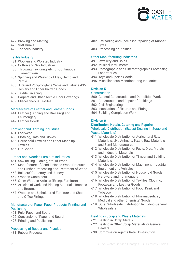

- 427 Brewing and Malting
- 428 Soft Drinks
- 429 Tobacco Industry

#### Textile Industry

- 431 Woollen and Worsted Industry
- 432 Cotton and Silk Industries
- 433 Throwing, Texturing, etc. of Continuous **Filament Yarn**
- 434 Spinning and Weaving of Flax, Hemp and Ramie
- 435 Jute and Polypropylene Yarns and Fabrics 436 Hosiery and Other Knitted Goods
- 437 Textile Finishing
- 438 Carpets and Other Textile Floor Coverings
- 439 Miscellaneous Textiles

#### Manufacture of Leather and Leather Goods

- 441 Leather (Tanning and Dressing) and Fellmongery
- 442 Leather Goods

#### Footwear and Clothing Industries

- 451 Footwear
- 453 Clothing, Hats and Gloves
- 455 Household Textiles and Other Made up **Textiles**
- 456 Fur Goods

#### Timber and Wooden Furniture Industries

- 461 Saw milling, Planing, etc. of Wood
- 462 Manufacture of Semi-Finished Wood Products and Further Processing and Treatment of Wood
- 463 Builders' Carpentry and Joinery
- 464 Wooden Containers
- 465 Other Wooden Articles (Except Furniture)
- 466 Articles of Cork and Plaiting Materials, Brushes and Brooms
- 467 Wooden and Upholstered Furniture and Shop and Office Fittings

#### Manufacture of Paper, Paper Products, Printing and Publishing

- 471 Pulp, Paper and Board
- 472 Conversion of Paper and Board
- 475 Printing and Publishing

#### Processing of Rubber and Plastics

481 Rubber Products

- 482 Retreading and Specialist Repairing of Rubber **Tyres**
- 483 Processing of Plastics

#### Other Manufacturing Industries

- 491 Jewellery and Coins
- 492 Musical Instruments
- 493 Photographic and Cinematographic Processing **Laboratories**
- 494 Toys and Sports Goods
- 495 Miscellaneous Manufacturing Industries

#### **Division 5**

#### **Construction**

- 500 General Construction and Demolition Work
- 501 Construction and Repair of Buildings
- 502 Civil Engineering
- 503 Installation of Fixtures and Fittings
- 504 Building Completion Work

#### **Division 6**

#### **Distribution, Hotels, Catering and Repairs** Wholesale Distribution (Except Dealing In Scrap and Waste Materials)

- 611 Wholesale Distribution of Agricultural Raw Materials, Live Animals, Textile Raw Materials and Semi-Manufactures
- 612 Wholesale Distribution of Fuels, Ores, Metals and Industrial Materials
- 613 Wholesale Distribution of Timber and Building **Materials**
- 614 Wholesale Distribution of Machinery, Industrial Equipment and Vehicles
- 615 Wholesale Distribution of Household Goods, Hardware and Ironmongery
- 616 Wholesale Distribution of Textiles, Clothing, **Footwear and Leather Goods**
- 617 Wholesale Distribution of Food, Drink and ........Tobacco
- 618 Wholesale Distribution of Pharmaceutical, Medical and other Chemists' Goods
- 619 Other Wholesale Distribution Including General Wholesalers

#### Dealing in Scrap and Waste Materials

- 621 Dealing in Scrap Metals
- 622 Dealing in Other Scrap Materials or General Dealers
- 630 Commission Agents Retail Distribution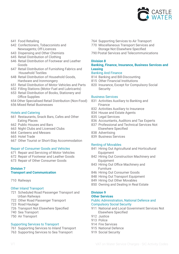

- 641 Food Retailing
- 642 Confectioners, Tobacconists and Newsagents; Off-Licences
- 643 Dispensing and Other Chemists
- 645 Retail Distribution of Clothing
- 646 Retail Distribution of Footwear and Leather Goods.
- 647 Retail Distribution of Furnishing Fabrics and Household Textiles
- 648 Retail Distribution of Household Goods, Hardware and Ironmongery
- 651 Retail Distribution of Motor Vehicles and Parts
- 652 Filling Stations (Motor Fuel and Lubricants)
- 653 Retail Distribution of Books, Stationery and Office Supplies
- 654 Other Specialised Retail Distribution (Non-Food)
- 656 Mixed Retail Businesses

#### Hotels and Catering

- 661 Restaurants, Snack Bars, Cafes and Other Eating Places
- 662 Public Houses and Bars
- 663 Night Clubs and Licensed Clubs
- 664 Canteens and Messes
- 665 Hotel Trade
- 667 Other Tourist or Short-Stay Accommodation

#### Repair of Consumer Goods and Vehicles

- 671 Repair and Servicing of Motor Vehicles
- 672 Repair of Footwear and Leather Goods
- 673 Repair of Other Consumer Goods

### **Division 7**

#### **Transport and Communication**

710 Railways

#### Other Inland Transport

- 721 Scheduled Road Passenger Transport and Urban Railways
- 722 Other Road Passenger Transport
- 723 Road Haulage
- 726 Transport Not Elsewhere Specified
- 740 Sea Transport
- 750 Air Transport

#### Supporting Services to Transport

- 761 Supporting Services to Inland Transport
- 763 Supporting Services to Sea Transport
- 764 Supporting Services to Air Transport
- 770 Miscellaneous Transport Services and Storage Not Elsewhere Specified
- 790 Postal Services and Telecommunications

#### **Division 8**

#### **Banking, Finance, Insurance, Business Services and Leasing**

#### Banking And Finance

- 814 Banking and Bill-Discounting
- 815 Other Financial Institutions
- 820 Insurance, Except for Compulsory Social Security

#### Business Services

- 831 Activities Auxiliary to Banking and Finance
- 832 Activities Auxiliary to Insurance
- 834 House and Estate Agents
- 835 Legal Services
- 836 Accountants, Auditors and Tax Experts
- 837 Professional and Technical Services Not **Elsewhere Specified**
- 838 Advertising
- 839 Business Services

#### Renting of Movables

- 841 Hiring Out Agricultural and Horticultural Equipment
- 842 Hiring Out Construction Machinery and Equipment
- 843 Hiring Out Office Machinery and **Eurniture**
- 846 Hiring Out Consumer Goods
- 848 Hiring Out Transport Equipment
- 849 Hiring Out Other Movables
- 850 Owning and Dealing in Real Estate

#### **Division 9**

#### **Other Services** Public Administration, National Defence and Compulsory Social Security

- 911 National and Local Government Services Not Elsewhere Specified
- 912 Justice
- 913 Police
- 914 Fire Services
- 915 National Defence
- 919 Social Security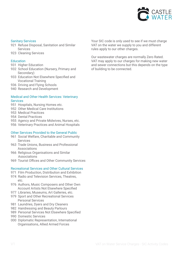

#### Sanitary Services

- 921 Refuse Disposal, Sanitation and Similar **Services**
- 923 Cleaning Services

#### **Education**

- 931 Higher Education
- 932 School Education (Nursery, Primary and Secondary)
- 933 Education Not Elsewhere Specified and **Vocational Training**
- 936 Driving and Flying Schools
- 940 Research and Development

#### Medical and Other Health Services: Veterinary **Services**

- 951 Hospitals, Nursing Homes etc.
- 952 Other Medical Care Institutions
- 953 Medical Practices
- 954 Dental Practices
- 955 Agency and Private Midwives, Nurses, etc.
- 956 Veterinary Practices and Animal Hospitals

#### Other Services Provided to the General Public

- 961 Social Welfare, Charitable and Community **Services**
- 963 Trade Unions, Business and Professional **Associations**
- 966 Religious Organisations and Similar **Associations**
- 969 Tourist Offices and Other Community Services

#### Recreational Services and Other Cultural Services

- 971 Film Production, Distribution and Exhibition
- 974 Radio and Television Services, Theatres, etc.
- 976 Authors, Music Composers and Other Own Account Artists Not Elsewhere Specified
- 977 Libraries, Museums, Art Galleries, etc.
- 979 Sport and Other Recreational Services Personal Services
- 981 Laundries, Dyers and Dry Cleaners
- 982 Hairdressing and Beauty Parlours
- 989 Personal Services Not Elsewhere Specified
- 990 Domestic Services
- 000 Diplomatic Representation, International Organisations, Allied Armed Forces

Your SIC code is only used to see if we must charge VAT on the water we supply to you and different rules apply to our other charges.

Our wastewater charges are normally Zero Rated. VAT may apply to our charges for making new water and sewer connections but this depends on the type of building to be connected.